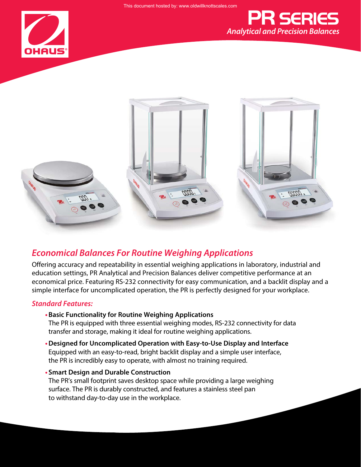





## *Economical Balances For Routine Weighing Applications*

Offering accuracy and repeatability in essential weighing applications in laboratory, industrial and education settings, PR Analytical and Precision Balances deliver competitive performance at an economical price. Featuring RS-232 connectivity for easy communication, and a backlit display and a simple interface for uncomplicated operation, the PR is perfectly designed for your workplace.

#### *Standard Features:*

**•Basic Functionality for Routine Weighing Applications**

The PR is equipped with three essential weighing modes, RS-232 connectivity for data transfer and storage, making it ideal for routine weighing applications.

- **•Designed for Uncomplicated Operation with Easy-to-Use Display and Interface** Equipped with an easy-to-read, bright backlit display and a simple user interface, the PR is incredibly easy to operate, with almost no training required.
- **• Smart Design and Durable Construction**

The PR's small footprint saves desktop space while providing a large weighing surface. The PR is durably constructed, and features a stainless steel pan to withstand day-to-day use in the workplace.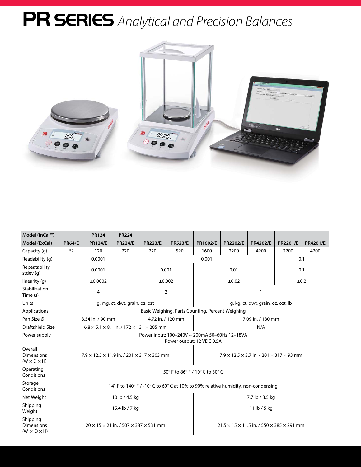# PR SERIES *Analytical and Precision Balances*



| Model (InCal™)                                           |                | <b>PR124</b>                                                         | <b>PR224</b>         |                                                                 |                   |                                                                                   |                 |                                    |                 |                 |  |
|----------------------------------------------------------|----------------|----------------------------------------------------------------------|----------------------|-----------------------------------------------------------------|-------------------|-----------------------------------------------------------------------------------|-----------------|------------------------------------|-----------------|-----------------|--|
| Model (ExCal)                                            | <b>PR64/E</b>  | <b>PR124/E</b>                                                       | <b>PR224/E</b>       | <b>PR223/E</b>                                                  | <b>PR523/E</b>    | PR1602/E                                                                          | <b>PR2202/E</b> | <b>PR4202/E</b>                    | <b>PR2201/E</b> | <b>PR4201/E</b> |  |
| Capacity (g)                                             | 62             | 120                                                                  | 220                  | 220                                                             | 520               | 1600                                                                              | 2200            | 4200                               | 2200            | 4200            |  |
| Readability (g)                                          |                | 0.0001                                                               |                      |                                                                 |                   | 0.001                                                                             |                 |                                    | 0.1             |                 |  |
| Repeatability<br>stdev (g)                               |                | 0.0001<br>0.001<br>0.01                                              |                      |                                                                 |                   | 0.1                                                                               |                 |                                    |                 |                 |  |
| linearity (q)                                            |                | ±0.0002                                                              | $\pm 0.02$<br>±0.002 |                                                                 |                   |                                                                                   |                 | $\pm 0.2$                          |                 |                 |  |
| Stabilization<br>Time (s)                                |                | 4                                                                    |                      |                                                                 | $\overline{2}$    | $\mathbf{1}$                                                                      |                 |                                    |                 |                 |  |
| Units                                                    |                | g, mg, ct, dwt, grain, oz, ozt                                       |                      |                                                                 |                   |                                                                                   |                 | g, kg, ct, dwt, grain, oz, ozt, lb |                 |                 |  |
| Applications                                             |                |                                                                      |                      |                                                                 |                   | Basic Weighing, Parts Counting, Percent Weighing                                  |                 |                                    |                 |                 |  |
| Pan Size Ø                                               |                | 3.54 in. / 90 mm                                                     |                      |                                                                 | 4.72 in. / 120 mm | 7.09 in. / 180 mm                                                                 |                 |                                    |                 |                 |  |
| Draftshield Size                                         |                | $6.8 \times 5.1 \times 8.1$ in. / 172 $\times$ 131 $\times$ 205 mm   |                      |                                                                 |                   | N/A                                                                               |                 |                                    |                 |                 |  |
| Power supply                                             |                |                                                                      |                      |                                                                 |                   | Power input: 100-240V ~ 200mA 50-60Hz 12-18VA<br>Power output: 12 VDC 0.5A        |                 |                                    |                 |                 |  |
| Overall<br><b>Dimensions</b><br>$(W \times D \times H)$  |                | $7.9 \times 12.5 \times 11.9$ in. / 201 $\times$ 317 $\times$ 303 mm |                      |                                                                 |                   | $7.9 \times 12.5 \times 3.7$ in. / 201 $\times$ 317 $\times$ 93 mm                |                 |                                    |                 |                 |  |
| Operating<br>Conditions                                  |                |                                                                      |                      |                                                                 |                   | 50° F to 86° F / 10° C to 30° C                                                   |                 |                                    |                 |                 |  |
| Storage<br>Conditions                                    |                |                                                                      |                      |                                                                 |                   | 14° F to 140° F / -10° C to 60° C at 10% to 90% relative humidity, non-condensing |                 |                                    |                 |                 |  |
| Net Weight                                               |                |                                                                      | 10 lb / 4.5 kg       |                                                                 |                   | 7.7 lb / 3.5 kg                                                                   |                 |                                    |                 |                 |  |
| Shipping<br>Weight                                       | 15.4 lb / 7 kg |                                                                      |                      |                                                                 | 11 lb / 5 kg      |                                                                                   |                 |                                    |                 |                 |  |
| Shipping<br><b>Dimensions</b><br>$(W \times D \times H)$ |                |                                                                      |                      | $20 \times 15 \times 21$ in. / 507 $\times$ 387 $\times$ 531 mm |                   | $21.5 \times 15 \times 11.5$ in. $/ 550 \times 385 \times 291$ mm                 |                 |                                    |                 |                 |  |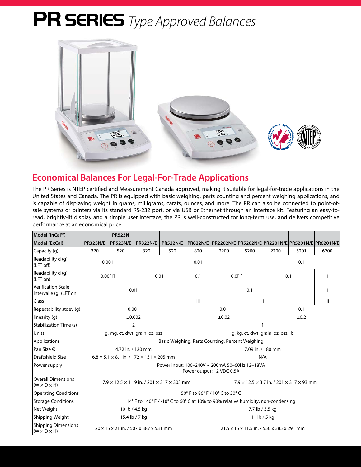# PR SERIES *Type Approved Balances*



## **Economical Balances For Legal-For-Trade Applications**

The PR Series is NTEP certified and Measurement Canada approved, making it suitable for legal-for-trade applications in the United States and Canada. The PR is equipped with basic weighing, parts counting and percent weighing applications, and is capable of displaying weight in grams, milligrams, carats, ounces, and more. The PR can also be connected to point-ofsale systems or printers via its standard RS-232 port, or via USB or Ethernet through an interface kit. Featuring an easy-toread, brightly-lit display and a simple user interface, the PR is well-constructed for long-term use, and delivers competitive performance at an economical price.

| Model (InCal™)                                       |                                | <b>PR523N</b>                                                                                                                            |                 |                 |                                                                                   |                                                                      |                   |      |      |              |  |  |  |
|------------------------------------------------------|--------------------------------|------------------------------------------------------------------------------------------------------------------------------------------|-----------------|-----------------|-----------------------------------------------------------------------------------|----------------------------------------------------------------------|-------------------|------|------|--------------|--|--|--|
| Model (ExCal)                                        | <b>PR323N/E</b>                | <b>PR523N/E</b>                                                                                                                          | <b>PR322N/E</b> | <b>PR522N/E</b> |                                                                                   | PR822N/E   PR2202N/E   PR5202N/E   PR2201N/E   PR5201N/E   PR6201N/E |                   |      |      |              |  |  |  |
| Capacity (g)                                         | 320                            | 520                                                                                                                                      | 320             | 520             | 820                                                                               | 2200                                                                 | 5200              | 2200 | 5201 | 6200         |  |  |  |
| Readability d (g)<br>(LFT off)                       | 0.001                          |                                                                                                                                          |                 |                 | 0.01                                                                              |                                                                      |                   | 0.1  |      |              |  |  |  |
| Readability d (g)<br>(LFT on)                        | 0.00[1]                        |                                                                                                                                          | 0.01            |                 | 0.1                                                                               | 0.0[1]                                                               |                   | 0.1  |      | $\mathbf{1}$ |  |  |  |
| <b>Verification Scale</b><br>Interval e (g) (LFT on) |                                | 0.01                                                                                                                                     |                 | 0.1             |                                                                                   |                                                                      | 1                 |      |      |              |  |  |  |
| Class                                                |                                | Ш                                                                                                                                        |                 |                 | III                                                                               |                                                                      | $\mathsf{I}$      | III  |      |              |  |  |  |
| Repeatability stdev (g)                              |                                | 0.001                                                                                                                                    |                 |                 | 0.01                                                                              |                                                                      |                   | 0.1  |      |              |  |  |  |
| linearity (g)                                        |                                | ±0.002                                                                                                                                   |                 |                 |                                                                                   | ±0.02                                                                |                   | ±0.2 |      |              |  |  |  |
| Stabilization Time (s)                               |                                | $\overline{2}$                                                                                                                           |                 |                 |                                                                                   |                                                                      |                   |      |      |              |  |  |  |
| Units                                                | g, mg, ct, dwt, grain, oz, ozt |                                                                                                                                          |                 |                 |                                                                                   | g, kg, ct, dwt, grain, oz, ozt, lb                                   |                   |      |      |              |  |  |  |
| Applications                                         |                                |                                                                                                                                          |                 |                 | Basic Weighing, Parts Counting, Percent Weighing                                  |                                                                      |                   |      |      |              |  |  |  |
| Pan Size Ø                                           | 4.72 in. / 120 mm              |                                                                                                                                          |                 |                 |                                                                                   |                                                                      | 7.09 in. / 180 mm |      |      |              |  |  |  |
| Draftshield Size                                     |                                | $6.8 \times 5.1 \times 8.1$ in. / 172 $\times$ 131 $\times$ 205 mm                                                                       |                 |                 |                                                                                   | N/A                                                                  |                   |      |      |              |  |  |  |
| Power supply                                         |                                |                                                                                                                                          |                 |                 | Power input: 100-240V ~ 200mA 50-60Hz 12-18VA<br>Power output: 12 VDC 0.5A        |                                                                      |                   |      |      |              |  |  |  |
| <b>Overall Dimensions</b><br>$(W \times D \times H)$ |                                | $7.9 \times 12.5 \times 11.9$ in. / 201 $\times$ 317 $\times$ 303 mm<br>$7.9 \times 12.5 \times 3.7$ in. $/ 201 \times 317 \times 93$ mm |                 |                 |                                                                                   |                                                                      |                   |      |      |              |  |  |  |
| <b>Operating Conditions</b>                          |                                |                                                                                                                                          |                 |                 | 50° F to 86° F / 10° C to 30° C                                                   |                                                                      |                   |      |      |              |  |  |  |
| <b>Storage Conditions</b>                            |                                |                                                                                                                                          |                 |                 | 14° F to 140° F / -10° C to 60° C at 10% to 90% relative humidity, non-condensing |                                                                      |                   |      |      |              |  |  |  |
| Net Weight                                           |                                | 10 lb / 4.5 kg                                                                                                                           |                 |                 | 7.7 lb / 3.5 kg                                                                   |                                                                      |                   |      |      |              |  |  |  |
| Shipping Weight                                      |                                | 15.4 lb / 7 kg                                                                                                                           |                 |                 | 11 lb / 5 kg                                                                      |                                                                      |                   |      |      |              |  |  |  |
| Shipping Dimensions<br>$(W \times D \times H)$       |                                | 20 x 15 x 21 in. / 507 x 387 x 531 mm                                                                                                    |                 |                 |                                                                                   | 21.5 x 15 x 11.5 in. / 550 x 385 x 291 mm                            |                   |      |      |              |  |  |  |